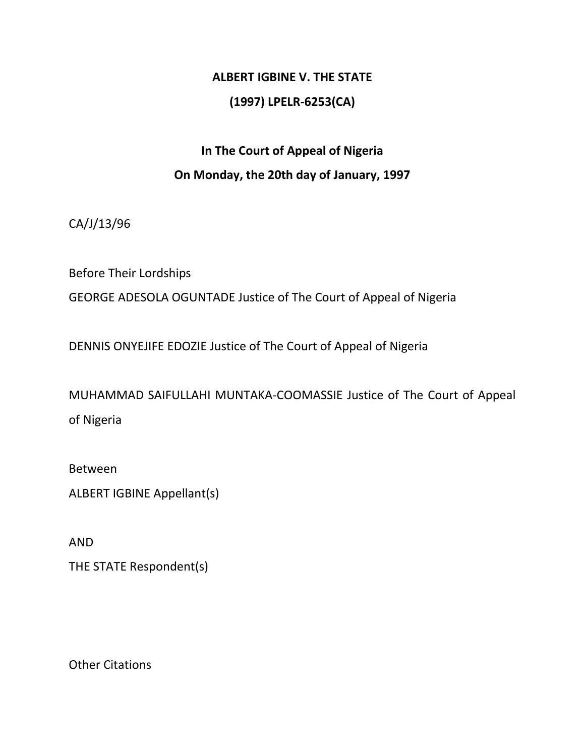## **ALBERT IGBINE V. THE STATE (1997) LPELR-6253(CA)**

## **In The Court of Appeal of Nigeria On Monday, the 20th day of January, 1997**

CA/J/13/96

Before Their Lordships

GEORGE ADESOLA OGUNTADE Justice of The Court of Appeal of Nigeria

DENNIS ONYEJIFE EDOZIE Justice of The Court of Appeal of Nigeria

MUHAMMAD SAIFULLAHI MUNTAKA-COOMASSIE Justice of The Court of Appeal of Nigeria

Between

ALBERT IGBINE Appellant(s)

AND

THE STATE Respondent(s)

Other Citations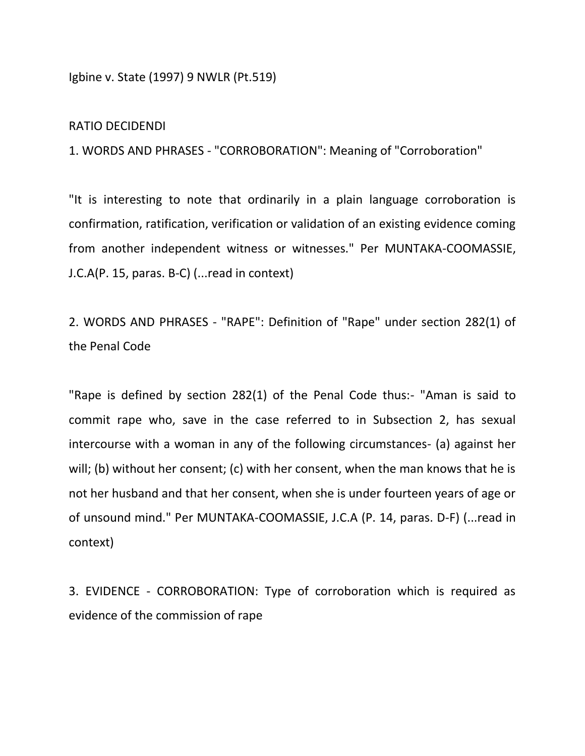Igbine v. State (1997) 9 NWLR (Pt.519)

## RATIO DECIDENDI

1. WORDS AND PHRASES - "CORROBORATION": Meaning of "Corroboration"

"It is interesting to note that ordinarily in a plain language corroboration is confirmation, ratification, verification or validation of an existing evidence coming from another independent witness or witnesses." Per MUNTAKA-COOMASSIE, J.C.A(P. 15, paras. B-C) (...read in context)

2. WORDS AND PHRASES - "RAPE": Definition of "Rape" under section 282(1) of the Penal Code

"Rape is defined by section 282(1) of the Penal Code thus:- "Aman is said to commit rape who, save in the case referred to in Subsection 2, has sexual intercourse with a woman in any of the following circumstances- (a) against her will; (b) without her consent; (c) with her consent, when the man knows that he is not her husband and that her consent, when she is under fourteen years of age or of unsound mind." Per MUNTAKA-COOMASSIE, J.C.A (P. 14, paras. D-F) (...read in context)

3. EVIDENCE - CORROBORATION: Type of corroboration which is required as evidence of the commission of rape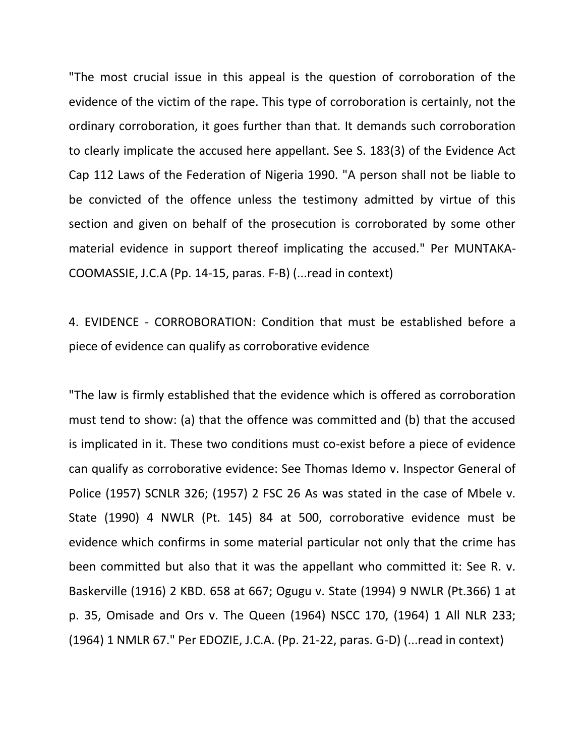"The most crucial issue in this appeal is the question of corroboration of the evidence of the victim of the rape. This type of corroboration is certainly, not the ordinary corroboration, it goes further than that. It demands such corroboration to clearly implicate the accused here appellant. See S. 183(3) of the Evidence Act Cap 112 Laws of the Federation of Nigeria 1990. "A person shall not be liable to be convicted of the offence unless the testimony admitted by virtue of this section and given on behalf of the prosecution is corroborated by some other material evidence in support thereof implicating the accused." Per MUNTAKA-COOMASSIE, J.C.A (Pp. 14-15, paras. F-B) (...read in context)

4. EVIDENCE - CORROBORATION: Condition that must be established before a piece of evidence can qualify as corroborative evidence

"The law is firmly established that the evidence which is offered as corroboration must tend to show: (a) that the offence was committed and (b) that the accused is implicated in it. These two conditions must co-exist before a piece of evidence can qualify as corroborative evidence: See Thomas Idemo v. Inspector General of Police (1957) SCNLR 326; (1957) 2 FSC 26 As was stated in the case of Mbele v. State (1990) 4 NWLR (Pt. 145) 84 at 500, corroborative evidence must be evidence which confirms in some material particular not only that the crime has been committed but also that it was the appellant who committed it: See R. v. Baskerville (1916) 2 KBD. 658 at 667; Ogugu v. State (1994) 9 NWLR (Pt.366) 1 at p. 35, Omisade and Ors v. The Queen (1964) NSCC 170, (1964) 1 All NLR 233; (1964) 1 NMLR 67." Per EDOZIE, J.C.A. (Pp. 21-22, paras. G-D) (...read in context)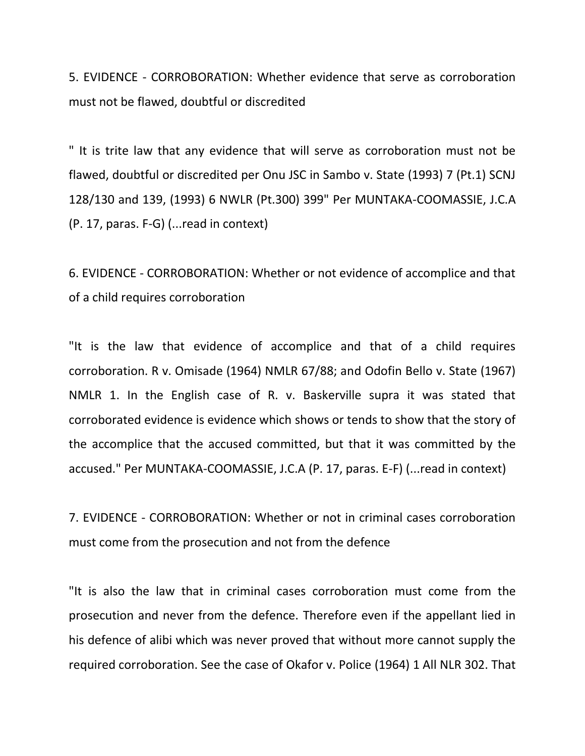5. EVIDENCE - CORROBORATION: Whether evidence that serve as corroboration must not be flawed, doubtful or discredited

" It is trite law that any evidence that will serve as corroboration must not be flawed, doubtful or discredited per Onu JSC in Sambo v. State (1993) 7 (Pt.1) SCNJ 128/130 and 139, (1993) 6 NWLR (Pt.300) 399" Per MUNTAKA-COOMASSIE, J.C.A (P. 17, paras. F-G) (...read in context)

6. EVIDENCE - CORROBORATION: Whether or not evidence of accomplice and that of a child requires corroboration

"It is the law that evidence of accomplice and that of a child requires corroboration. R v. Omisade (1964) NMLR 67/88; and Odofin Bello v. State (1967) NMLR 1. In the English case of R. v. Baskerville supra it was stated that corroborated evidence is evidence which shows or tends to show that the story of the accomplice that the accused committed, but that it was committed by the accused." Per MUNTAKA-COOMASSIE, J.C.A (P. 17, paras. E-F) (...read in context)

7. EVIDENCE - CORROBORATION: Whether or not in criminal cases corroboration must come from the prosecution and not from the defence

"It is also the law that in criminal cases corroboration must come from the prosecution and never from the defence. Therefore even if the appellant lied in his defence of alibi which was never proved that without more cannot supply the required corroboration. See the case of Okafor v. Police (1964) 1 All NLR 302. That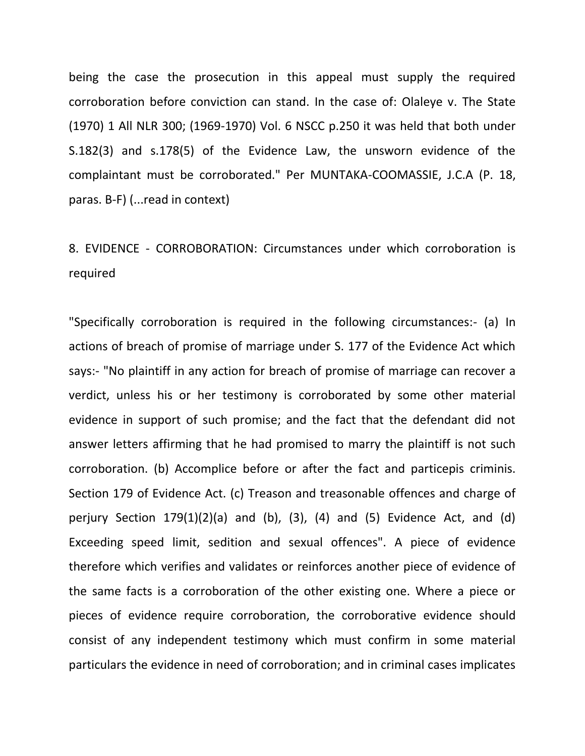being the case the prosecution in this appeal must supply the required corroboration before conviction can stand. In the case of: Olaleye v. The State (1970) 1 All NLR 300; (1969-1970) Vol. 6 NSCC p.250 it was held that both under S.182(3) and s.178(5) of the Evidence Law, the unsworn evidence of the complaintant must be corroborated." Per MUNTAKA-COOMASSIE, J.C.A (P. 18, paras. B-F) (...read in context)

## 8. EVIDENCE - CORROBORATION: Circumstances under which corroboration is required

"Specifically corroboration is required in the following circumstances:- (a) In actions of breach of promise of marriage under S. 177 of the Evidence Act which says:- "No plaintiff in any action for breach of promise of marriage can recover a verdict, unless his or her testimony is corroborated by some other material evidence in support of such promise; and the fact that the defendant did not answer letters affirming that he had promised to marry the plaintiff is not such corroboration. (b) Accomplice before or after the fact and particepis criminis. Section 179 of Evidence Act. (c) Treason and treasonable offences and charge of perjury Section  $179(1)(2)(a)$  and  $(b)$ ,  $(3)$ ,  $(4)$  and  $(5)$  Evidence Act, and  $(d)$ Exceeding speed limit, sedition and sexual offences". A piece of evidence therefore which verifies and validates or reinforces another piece of evidence of the same facts is a corroboration of the other existing one. Where a piece or pieces of evidence require corroboration, the corroborative evidence should consist of any independent testimony which must confirm in some material particulars the evidence in need of corroboration; and in criminal cases implicates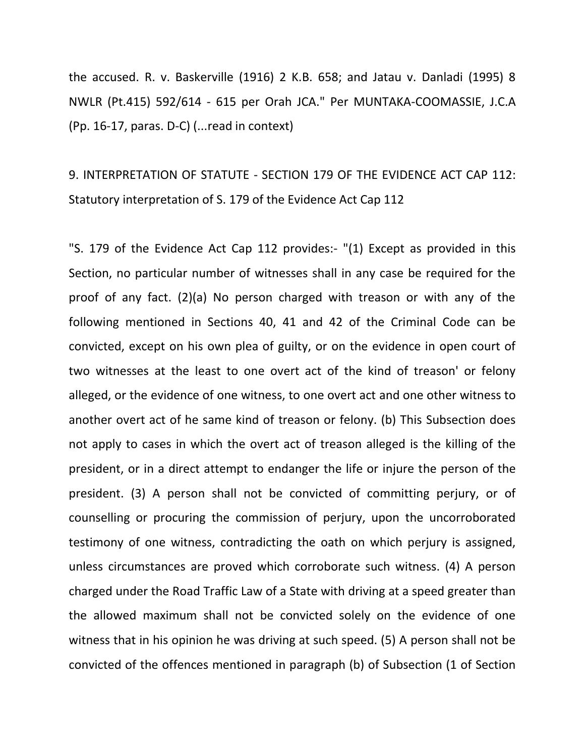the accused. R. v. Baskerville (1916) 2 K.B. 658; and Jatau v. Danladi (1995) 8 NWLR (Pt.415) 592/614 - 615 per Orah JCA." Per MUNTAKA-COOMASSIE, J.C.A (Pp. 16-17, paras. D-C) (...read in context)

9. INTERPRETATION OF STATUTE - SECTION 179 OF THE EVIDENCE ACT CAP 112: Statutory interpretation of S. 179 of the Evidence Act Cap 112

"S. 179 of the Evidence Act Cap 112 provides:- "(1) Except as provided in this Section, no particular number of witnesses shall in any case be required for the proof of any fact. (2)(a) No person charged with treason or with any of the following mentioned in Sections 40, 41 and 42 of the Criminal Code can be convicted, except on his own plea of guilty, or on the evidence in open court of two witnesses at the least to one overt act of the kind of treason' or felony alleged, or the evidence of one witness, to one overt act and one other witness to another overt act of he same kind of treason or felony. (b) This Subsection does not apply to cases in which the overt act of treason alleged is the killing of the president, or in a direct attempt to endanger the life or injure the person of the president. (3) A person shall not be convicted of committing perjury, or of counselling or procuring the commission of perjury, upon the uncorroborated testimony of one witness, contradicting the oath on which perjury is assigned, unless circumstances are proved which corroborate such witness. (4) A person charged under the Road Traffic Law of a State with driving at a speed greater than the allowed maximum shall not be convicted solely on the evidence of one witness that in his opinion he was driving at such speed. (5) A person shall not be convicted of the offences mentioned in paragraph (b) of Subsection (1 of Section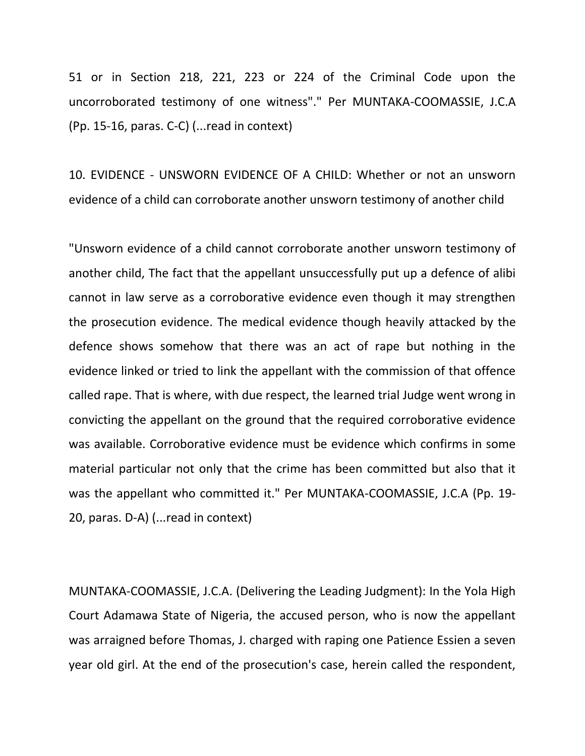51 or in Section 218, 221, 223 or 224 of the Criminal Code upon the uncorroborated testimony of one witness"." Per MUNTAKA-COOMASSIE, J.C.A (Pp. 15-16, paras. C-C) (...read in context)

10. EVIDENCE - UNSWORN EVIDENCE OF A CHILD: Whether or not an unsworn evidence of a child can corroborate another unsworn testimony of another child

"Unsworn evidence of a child cannot corroborate another unsworn testimony of another child, The fact that the appellant unsuccessfully put up a defence of alibi cannot in law serve as a corroborative evidence even though it may strengthen the prosecution evidence. The medical evidence though heavily attacked by the defence shows somehow that there was an act of rape but nothing in the evidence linked or tried to link the appellant with the commission of that offence called rape. That is where, with due respect, the learned trial Judge went wrong in convicting the appellant on the ground that the required corroborative evidence was available. Corroborative evidence must be evidence which confirms in some material particular not only that the crime has been committed but also that it was the appellant who committed it." Per MUNTAKA-COOMASSIE, J.C.A (Pp. 19- 20, paras. D-A) (...read in context)

MUNTAKA-COOMASSIE, J.C.A. (Delivering the Leading Judgment): In the Yola High Court Adamawa State of Nigeria, the accused person, who is now the appellant was arraigned before Thomas, J. charged with raping one Patience Essien a seven year old girl. At the end of the prosecution's case, herein called the respondent,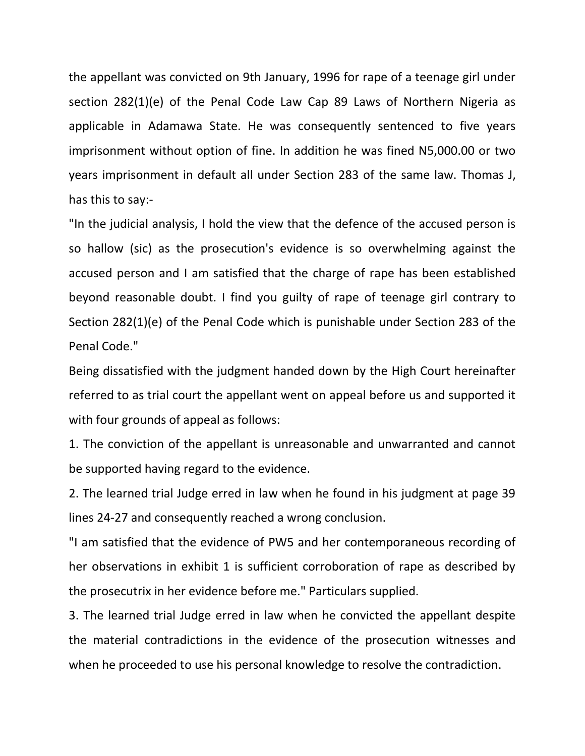the appellant was convicted on 9th January, 1996 for rape of a teenage girl under section 282(1)(e) of the Penal Code Law Cap 89 Laws of Northern Nigeria as applicable in Adamawa State. He was consequently sentenced to five years imprisonment without option of fine. In addition he was fined N5,000.00 or two years imprisonment in default all under Section 283 of the same law. Thomas J, has this to say:-

"In the judicial analysis, I hold the view that the defence of the accused person is so hallow (sic) as the prosecution's evidence is so overwhelming against the accused person and I am satisfied that the charge of rape has been established beyond reasonable doubt. I find you guilty of rape of teenage girl contrary to Section 282(1)(e) of the Penal Code which is punishable under Section 283 of the Penal Code."

Being dissatisfied with the judgment handed down by the High Court hereinafter referred to as trial court the appellant went on appeal before us and supported it with four grounds of appeal as follows:

1. The conviction of the appellant is unreasonable and unwarranted and cannot be supported having regard to the evidence.

2. The learned trial Judge erred in law when he found in his judgment at page 39 lines 24-27 and consequently reached a wrong conclusion.

"I am satisfied that the evidence of PW5 and her contemporaneous recording of her observations in exhibit 1 is sufficient corroboration of rape as described by the prosecutrix in her evidence before me." Particulars supplied.

3. The learned trial Judge erred in law when he convicted the appellant despite the material contradictions in the evidence of the prosecution witnesses and when he proceeded to use his personal knowledge to resolve the contradiction.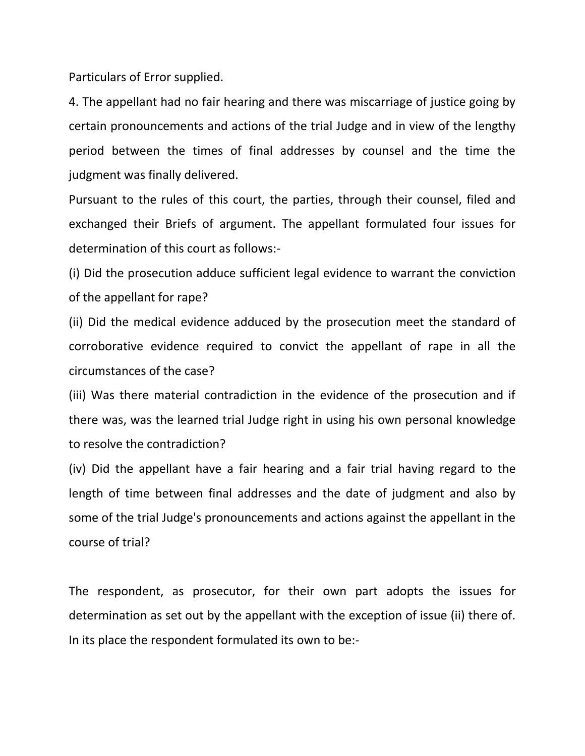Particulars of Error supplied.

4. The appellant had no fair hearing and there was miscarriage of justice going by certain pronouncements and actions of the trial Judge and in view of the lengthy period between the times of final addresses by counsel and the time the judgment was finally delivered.

Pursuant to the rules of this court, the parties, through their counsel, filed and exchanged their Briefs of argument. The appellant formulated four issues for determination of this court as follows:-

(i) Did the prosecution adduce sufficient legal evidence to warrant the conviction of the appellant for rape?

(ii) Did the medical evidence adduced by the prosecution meet the standard of corroborative evidence required to convict the appellant of rape in all the circumstances of the case?

(iii) Was there material contradiction in the evidence of the prosecution and if there was, was the learned trial Judge right in using his own personal knowledge to resolve the contradiction?

(iv) Did the appellant have a fair hearing and a fair trial having regard to the length of time between final addresses and the date of judgment and also by some of the trial Judge's pronouncements and actions against the appellant in the course of trial?

The respondent, as prosecutor, for their own part adopts the issues for determination as set out by the appellant with the exception of issue (ii) there of. In its place the respondent formulated its own to be:-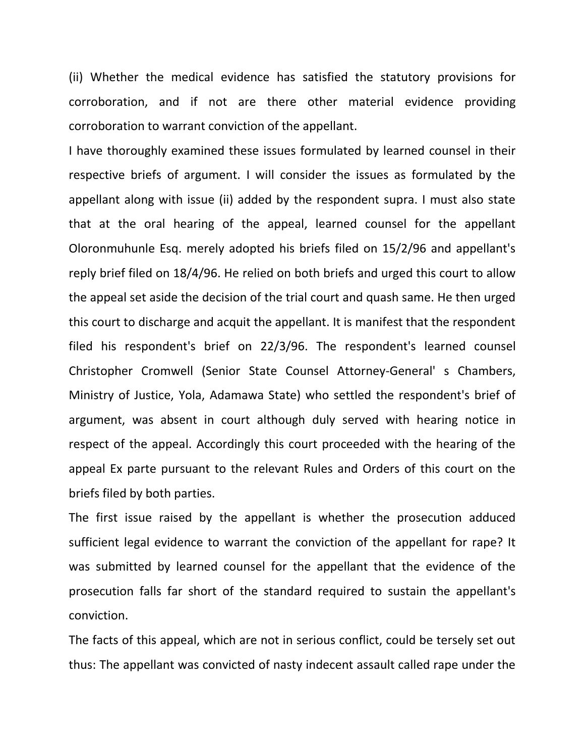(ii) Whether the medical evidence has satisfied the statutory provisions for corroboration, and if not are there other material evidence providing corroboration to warrant conviction of the appellant.

I have thoroughly examined these issues formulated by learned counsel in their respective briefs of argument. I will consider the issues as formulated by the appellant along with issue (ii) added by the respondent supra. I must also state that at the oral hearing of the appeal, learned counsel for the appellant Oloronmuhunle Esq. merely adopted his briefs filed on 15/2/96 and appellant's reply brief filed on 18/4/96. He relied on both briefs and urged this court to allow the appeal set aside the decision of the trial court and quash same. He then urged this court to discharge and acquit the appellant. It is manifest that the respondent filed his respondent's brief on 22/3/96. The respondent's learned counsel Christopher Cromwell (Senior State Counsel Attorney-General' s Chambers, Ministry of Justice, Yola, Adamawa State) who settled the respondent's brief of argument, was absent in court although duly served with hearing notice in respect of the appeal. Accordingly this court proceeded with the hearing of the appeal Ex parte pursuant to the relevant Rules and Orders of this court on the briefs filed by both parties.

The first issue raised by the appellant is whether the prosecution adduced sufficient legal evidence to warrant the conviction of the appellant for rape? It was submitted by learned counsel for the appellant that the evidence of the prosecution falls far short of the standard required to sustain the appellant's conviction.

The facts of this appeal, which are not in serious conflict, could be tersely set out thus: The appellant was convicted of nasty indecent assault called rape under the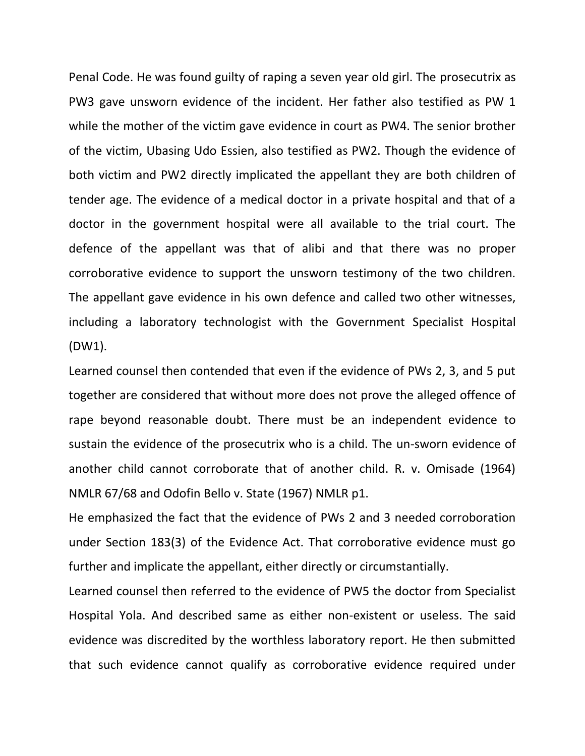Penal Code. He was found guilty of raping a seven year old girl. The prosecutrix as PW3 gave unsworn evidence of the incident. Her father also testified as PW 1 while the mother of the victim gave evidence in court as PW4. The senior brother of the victim, Ubasing Udo Essien, also testified as PW2. Though the evidence of both victim and PW2 directly implicated the appellant they are both children of tender age. The evidence of a medical doctor in a private hospital and that of a doctor in the government hospital were all available to the trial court. The defence of the appellant was that of alibi and that there was no proper corroborative evidence to support the unsworn testimony of the two children. The appellant gave evidence in his own defence and called two other witnesses, including a laboratory technologist with the Government Specialist Hospital (DW1).

Learned counsel then contended that even if the evidence of PWs 2, 3, and 5 put together are considered that without more does not prove the alleged offence of rape beyond reasonable doubt. There must be an independent evidence to sustain the evidence of the prosecutrix who is a child. The un-sworn evidence of another child cannot corroborate that of another child. R. v. Omisade (1964) NMLR 67/68 and Odofin Bello v. State (1967) NMLR p1.

He emphasized the fact that the evidence of PWs 2 and 3 needed corroboration under Section 183(3) of the Evidence Act. That corroborative evidence must go further and implicate the appellant, either directly or circumstantially.

Learned counsel then referred to the evidence of PW5 the doctor from Specialist Hospital Yola. And described same as either non-existent or useless. The said evidence was discredited by the worthless laboratory report. He then submitted that such evidence cannot qualify as corroborative evidence required under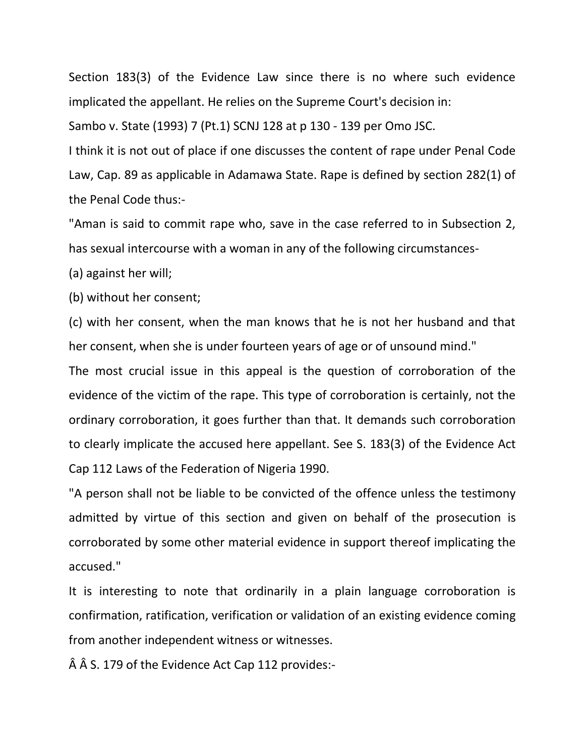Section 183(3) of the Evidence Law since there is no where such evidence implicated the appellant. He relies on the Supreme Court's decision in:

Sambo v. State (1993) 7 (Pt.1) SCNJ 128 at p 130 - 139 per Omo JSC.

I think it is not out of place if one discusses the content of rape under Penal Code Law, Cap. 89 as applicable in Adamawa State. Rape is defined by section 282(1) of the Penal Code thus:-

"Aman is said to commit rape who, save in the case referred to in Subsection 2, has sexual intercourse with a woman in any of the following circumstances-

(a) against her will;

(b) without her consent;

(c) with her consent, when the man knows that he is not her husband and that her consent, when she is under fourteen years of age or of unsound mind."

The most crucial issue in this appeal is the question of corroboration of the evidence of the victim of the rape. This type of corroboration is certainly, not the ordinary corroboration, it goes further than that. It demands such corroboration to clearly implicate the accused here appellant. See S. 183(3) of the Evidence Act Cap 112 Laws of the Federation of Nigeria 1990.

"A person shall not be liable to be convicted of the offence unless the testimony admitted by virtue of this section and given on behalf of the prosecution is corroborated by some other material evidence in support thereof implicating the accused."

It is interesting to note that ordinarily in a plain language corroboration is confirmation, ratification, verification or validation of an existing evidence coming from another independent witness or witnesses.

 $\hat{A}$   $\hat{A}$  S. 179 of the Evidence Act Cap 112 provides:-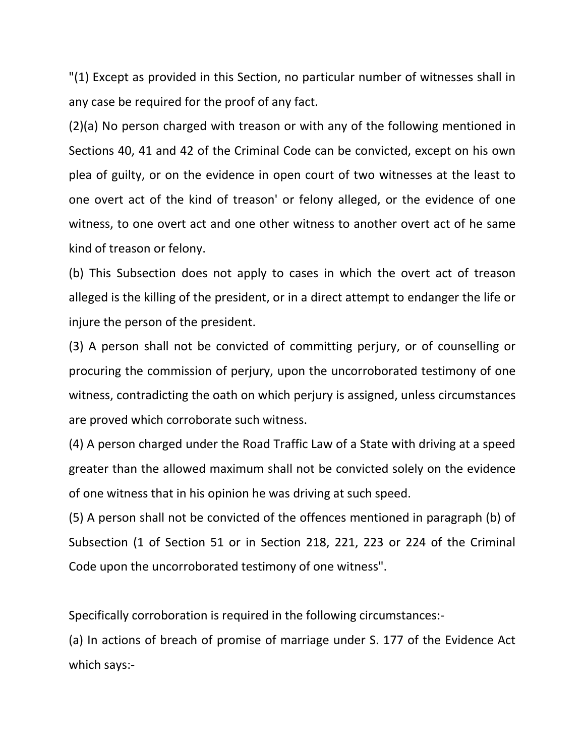"(1) Except as provided in this Section, no particular number of witnesses shall in any case be required for the proof of any fact.

(2)(a) No person charged with treason or with any of the following mentioned in Sections 40, 41 and 42 of the Criminal Code can be convicted, except on his own plea of guilty, or on the evidence in open court of two witnesses at the least to one overt act of the kind of treason' or felony alleged, or the evidence of one witness, to one overt act and one other witness to another overt act of he same kind of treason or felony.

(b) This Subsection does not apply to cases in which the overt act of treason alleged is the killing of the president, or in a direct attempt to endanger the life or injure the person of the president.

(3) A person shall not be convicted of committing perjury, or of counselling or procuring the commission of perjury, upon the uncorroborated testimony of one witness, contradicting the oath on which perjury is assigned, unless circumstances are proved which corroborate such witness.

(4) A person charged under the Road Traffic Law of a State with driving at a speed greater than the allowed maximum shall not be convicted solely on the evidence of one witness that in his opinion he was driving at such speed.

(5) A person shall not be convicted of the offences mentioned in paragraph (b) of Subsection (1 of Section 51 or in Section 218, 221, 223 or 224 of the Criminal Code upon the uncorroborated testimony of one witness".

Specifically corroboration is required in the following circumstances:-

(a) In actions of breach of promise of marriage under S. 177 of the Evidence Act which says:-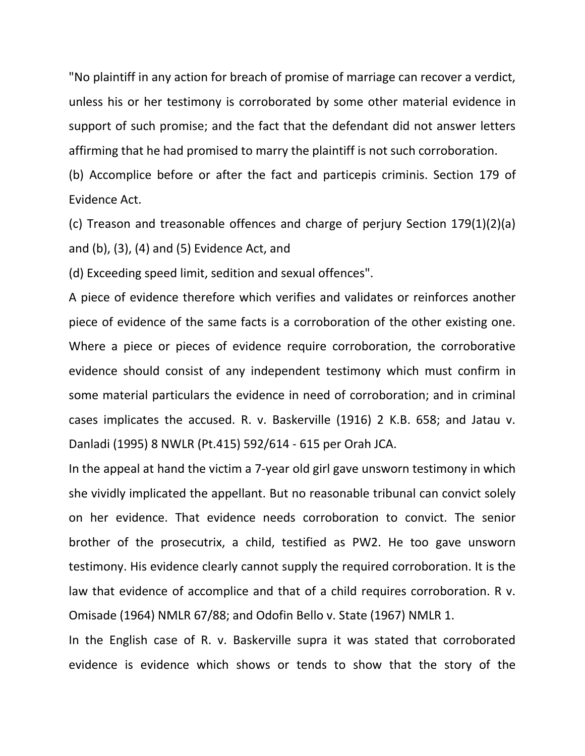"No plaintiff in any action for breach of promise of marriage can recover a verdict, unless his or her testimony is corroborated by some other material evidence in support of such promise; and the fact that the defendant did not answer letters affirming that he had promised to marry the plaintiff is not such corroboration.

(b) Accomplice before or after the fact and particepis criminis. Section 179 of Evidence Act.

(c) Treason and treasonable offences and charge of perjury Section 179(1)(2)(a) and (b), (3), (4) and (5) Evidence Act, and

(d) Exceeding speed limit, sedition and sexual offences".

A piece of evidence therefore which verifies and validates or reinforces another piece of evidence of the same facts is a corroboration of the other existing one. Where a piece or pieces of evidence require corroboration, the corroborative evidence should consist of any independent testimony which must confirm in some material particulars the evidence in need of corroboration; and in criminal cases implicates the accused. R. v. Baskerville (1916) 2 K.B. 658; and Jatau v. Danladi (1995) 8 NWLR (Pt.415) 592/614 - 615 per Orah JCA.

In the appeal at hand the victim a 7-year old girl gave unsworn testimony in which she vividly implicated the appellant. But no reasonable tribunal can convict solely on her evidence. That evidence needs corroboration to convict. The senior brother of the prosecutrix, a child, testified as PW2. He too gave unsworn testimony. His evidence clearly cannot supply the required corroboration. It is the law that evidence of accomplice and that of a child requires corroboration. R v. Omisade (1964) NMLR 67/88; and Odofin Bello v. State (1967) NMLR 1.

In the English case of R. v. Baskerville supra it was stated that corroborated evidence is evidence which shows or tends to show that the story of the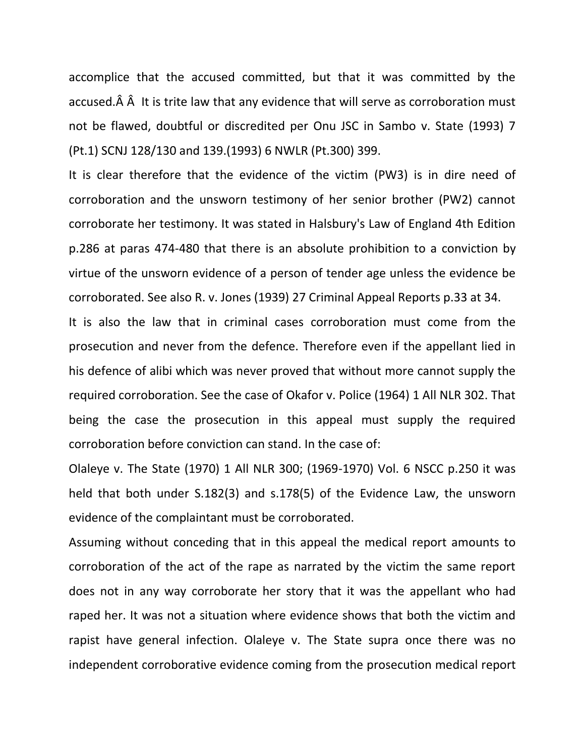accomplice that the accused committed, but that it was committed by the accused. $\hat{A}$   $\hat{A}$  It is trite law that any evidence that will serve as corroboration must not be flawed, doubtful or discredited per Onu JSC in Sambo v. State (1993) 7 (Pt.1) SCNJ 128/130 and 139.(1993) 6 NWLR (Pt.300) 399.

It is clear therefore that the evidence of the victim (PW3) is in dire need of corroboration and the unsworn testimony of her senior brother (PW2) cannot corroborate her testimony. It was stated in Halsbury's Law of England 4th Edition p.286 at paras 474-480 that there is an absolute prohibition to a conviction by virtue of the unsworn evidence of a person of tender age unless the evidence be corroborated. See also R. v. Jones (1939) 27 Criminal Appeal Reports p.33 at 34.

It is also the law that in criminal cases corroboration must come from the prosecution and never from the defence. Therefore even if the appellant lied in his defence of alibi which was never proved that without more cannot supply the required corroboration. See the case of Okafor v. Police (1964) 1 All NLR 302. That being the case the prosecution in this appeal must supply the required corroboration before conviction can stand. In the case of:

Olaleye v. The State (1970) 1 All NLR 300; (1969-1970) Vol. 6 NSCC p.250 it was held that both under S.182(3) and s.178(5) of the Evidence Law, the unsworn evidence of the complaintant must be corroborated.

Assuming without conceding that in this appeal the medical report amounts to corroboration of the act of the rape as narrated by the victim the same report does not in any way corroborate her story that it was the appellant who had raped her. It was not a situation where evidence shows that both the victim and rapist have general infection. Olaleye v. The State supra once there was no independent corroborative evidence coming from the prosecution medical report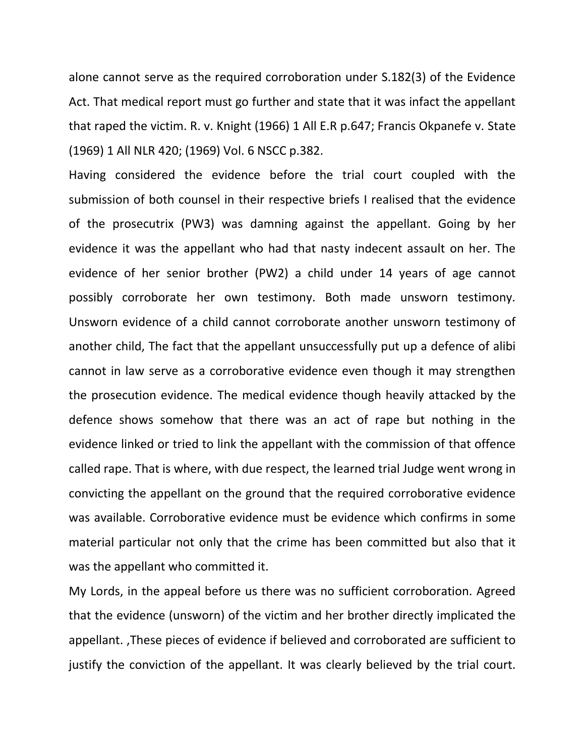alone cannot serve as the required corroboration under S.182(3) of the Evidence Act. That medical report must go further and state that it was infact the appellant that raped the victim. R. v. Knight (1966) 1 All E.R p.647; Francis Okpanefe v. State (1969) 1 All NLR 420; (1969) Vol. 6 NSCC p.382.

Having considered the evidence before the trial court coupled with the submission of both counsel in their respective briefs I realised that the evidence of the prosecutrix (PW3) was damning against the appellant. Going by her evidence it was the appellant who had that nasty indecent assault on her. The evidence of her senior brother (PW2) a child under 14 years of age cannot possibly corroborate her own testimony. Both made unsworn testimony. Unsworn evidence of a child cannot corroborate another unsworn testimony of another child, The fact that the appellant unsuccessfully put up a defence of alibi cannot in law serve as a corroborative evidence even though it may strengthen the prosecution evidence. The medical evidence though heavily attacked by the defence shows somehow that there was an act of rape but nothing in the evidence linked or tried to link the appellant with the commission of that offence called rape. That is where, with due respect, the learned trial Judge went wrong in convicting the appellant on the ground that the required corroborative evidence was available. Corroborative evidence must be evidence which confirms in some material particular not only that the crime has been committed but also that it was the appellant who committed it.

My Lords, in the appeal before us there was no sufficient corroboration. Agreed that the evidence (unsworn) of the victim and her brother directly implicated the appellant. ,These pieces of evidence if believed and corroborated are sufficient to justify the conviction of the appellant. It was clearly believed by the trial court.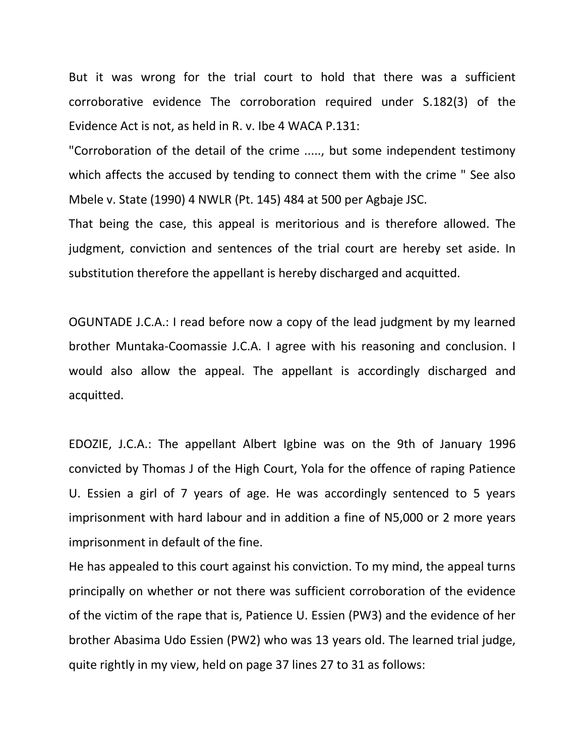But it was wrong for the trial court to hold that there was a sufficient corroborative evidence The corroboration required under S.182(3) of the Evidence Act is not, as held in R. v. Ibe 4 WACA P.131:

"Corroboration of the detail of the crime ....., but some independent testimony which affects the accused by tending to connect them with the crime " See also Mbele v. State (1990) 4 NWLR (Pt. 145) 484 at 500 per Agbaje JSC.

That being the case, this appeal is meritorious and is therefore allowed. The judgment, conviction and sentences of the trial court are hereby set aside. In substitution therefore the appellant is hereby discharged and acquitted.

OGUNTADE J.C.A.: I read before now a copy of the lead judgment by my learned brother Muntaka-Coomassie J.C.A. I agree with his reasoning and conclusion. I would also allow the appeal. The appellant is accordingly discharged and acquitted.

EDOZIE, J.C.A.: The appellant Albert Igbine was on the 9th of January 1996 convicted by Thomas J of the High Court, Yola for the offence of raping Patience U. Essien a girl of 7 years of age. He was accordingly sentenced to 5 years imprisonment with hard labour and in addition a fine of N5,000 or 2 more years imprisonment in default of the fine.

He has appealed to this court against his conviction. To my mind, the appeal turns principally on whether or not there was sufficient corroboration of the evidence of the victim of the rape that is, Patience U. Essien (PW3) and the evidence of her brother Abasima Udo Essien (PW2) who was 13 years old. The learned trial judge, quite rightly in my view, held on page 37 lines 27 to 31 as follows: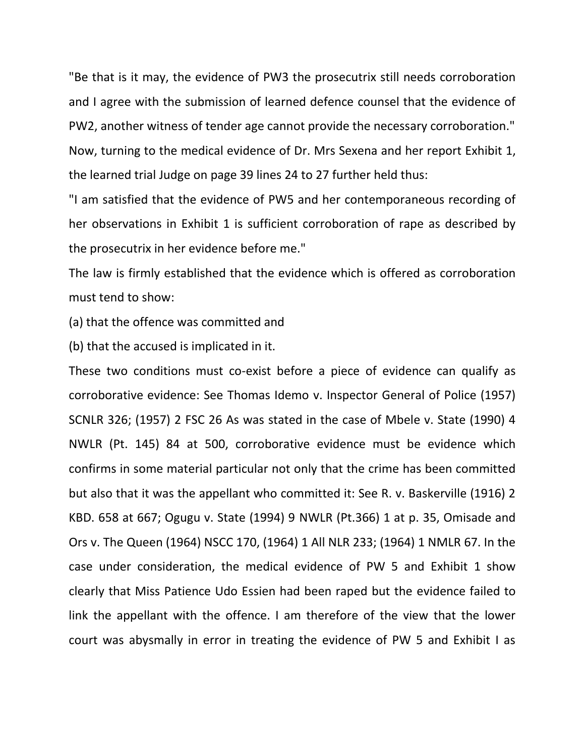"Be that is it may, the evidence of PW3 the prosecutrix still needs corroboration and I agree with the submission of learned defence counsel that the evidence of PW2, another witness of tender age cannot provide the necessary corroboration." Now, turning to the medical evidence of Dr. Mrs Sexena and her report Exhibit 1, the learned trial Judge on page 39 lines 24 to 27 further held thus:

"I am satisfied that the evidence of PW5 and her contemporaneous recording of her observations in Exhibit 1 is sufficient corroboration of rape as described by the prosecutrix in her evidence before me."

The law is firmly established that the evidence which is offered as corroboration must tend to show:

(a) that the offence was committed and

(b) that the accused is implicated in it.

These two conditions must co-exist before a piece of evidence can qualify as corroborative evidence: See Thomas Idemo v. Inspector General of Police (1957) SCNLR 326; (1957) 2 FSC 26 As was stated in the case of Mbele v. State (1990) 4 NWLR (Pt. 145) 84 at 500, corroborative evidence must be evidence which confirms in some material particular not only that the crime has been committed but also that it was the appellant who committed it: See R. v. Baskerville (1916) 2 KBD. 658 at 667; Ogugu v. State (1994) 9 NWLR (Pt.366) 1 at p. 35, Omisade and Ors v. The Queen (1964) NSCC 170, (1964) 1 All NLR 233; (1964) 1 NMLR 67. In the case under consideration, the medical evidence of PW 5 and Exhibit 1 show clearly that Miss Patience Udo Essien had been raped but the evidence failed to link the appellant with the offence. I am therefore of the view that the lower court was abysmally in error in treating the evidence of PW 5 and Exhibit I as